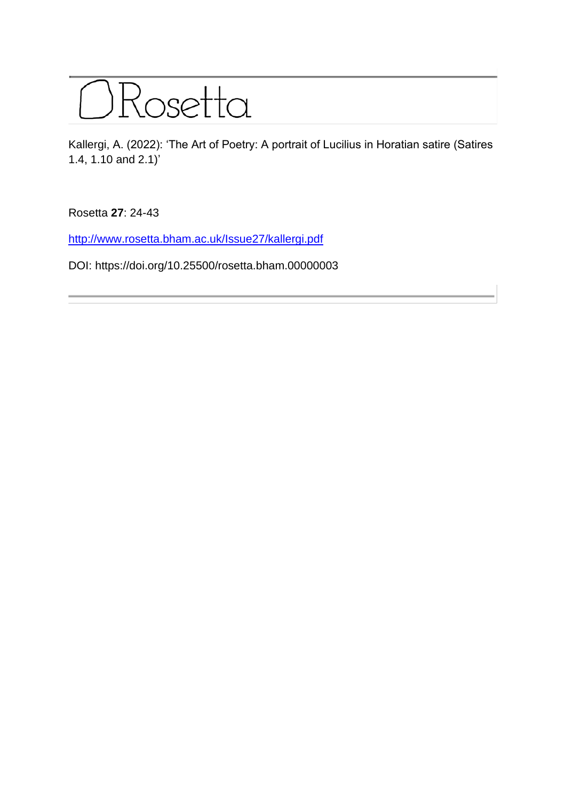## ORosetta

Kallergi, A. (2022): 'The Art of Poetry: A portrait of Lucilius in Horatian satire (Satires 1.4, 1.10 and 2.1)'

Rosetta **27**: 24-43

<http://www.rosetta.bham.ac.uk/Issue27/kallergi.pdf>

DOI: https://doi.org/10.25500/rosetta.bham.00000003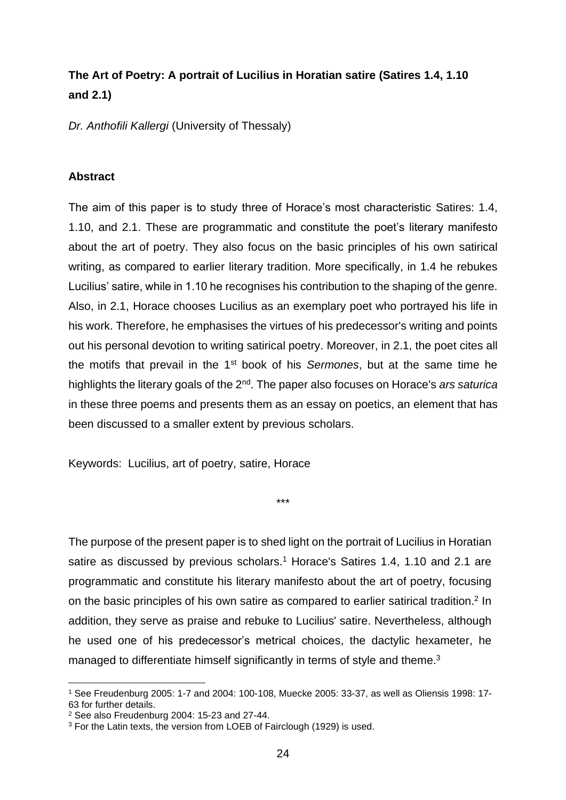## **The Art of Poetry: A portrait of Lucilius in Horatian satire (Satires 1.4, 1.10 and 2.1)**

*Dr. Anthofili Kallergi* (University of Thessaly)

## **Abstract**

The aim of this paper is to study three of Horace's most characteristic Satires: 1.4, 1.10, and 2.1. These are programmatic and constitute the poet's literary manifesto about the art of poetry. They also focus on the basic principles of his own satirical writing, as compared to earlier literary tradition. More specifically, in 1.4 he rebukes Lucilius' satire, while in 1.10 he recognises his contribution to the shaping of the genre. Also, in 2.1, Horace chooses Lucilius as an exemplary poet who portrayed his life in his work. Therefore, he emphasises the virtues of his predecessor's writing and points out his personal devotion to writing satirical poetry. Moreover, in 2.1, the poet cites all the motifs that prevail in the 1st book of his *Sermones*, but at the same time he highlights the literary goals of the 2nd. The paper also focuses on Horace's *ars saturica* in these three poems and presents them as an essay on poetics, an element that has been discussed to a smaller extent by previous scholars.

Keywords: Lucilius, art of poetry, satire, Horace

\*\*\*

The purpose of the present paper is to shed light on the portrait of Lucilius in Horatian satire as discussed by previous scholars.<sup>1</sup> Horace's Satires 1.4, 1.10 and 2.1 are programmatic and constitute his literary manifesto about the art of poetry, focusing on the basic principles of his own satire as compared to earlier satirical tradition.<sup>2</sup> In addition, they serve as praise and rebuke to Lucilius' satire. Nevertheless, although he used one of his predecessor's metrical choices, the dactylic hexameter, he managed to differentiate himself significantly in terms of style and theme.<sup>3</sup>

<sup>1</sup> See Freudenburg 2005: 1-7 and 2004: 100-108, Muecke 2005: 33-37, as well as Oliensis 1998: 17- 63 for further details.

<sup>2</sup> See also Freudenburg 2004: 15-23 and 27-44.

<sup>&</sup>lt;sup>3</sup> For the Latin texts, the version from LOEB of Fairclough (1929) is used.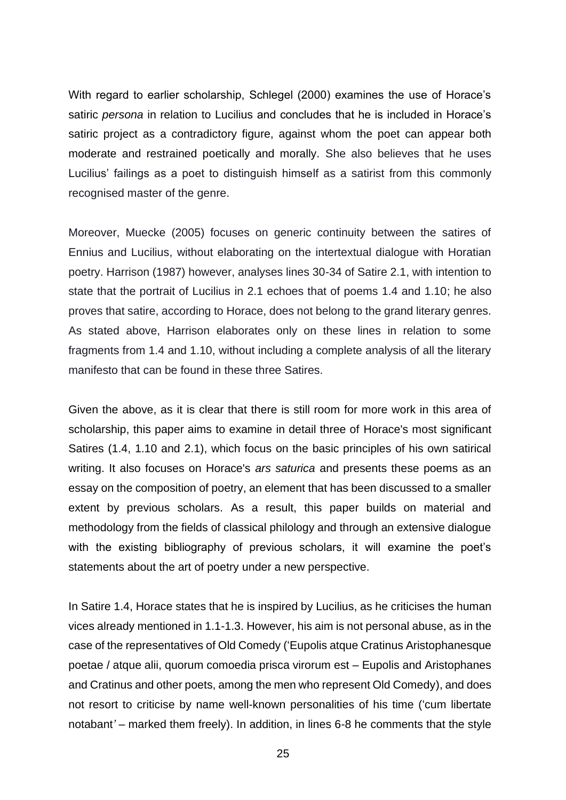With regard to earlier scholarship, Schlegel (2000) examines the use of Horace's satiric *persona* in relation to Lucilius and concludes that he is included in Horace's satiric project as a contradictory figure, against whom the poet can appear both moderate and restrained poetically and morally. She also believes that he uses Lucilius' failings as a poet to distinguish himself as a satirist from this commonly recognised master of the genre.

Moreover, Muecke (2005) focuses on generic continuity between the satires of Ennius and Lucilius, without elaborating on the intertextual dialogue with Horatian poetry. Harrison (1987) however, analyses lines 30-34 of Satire 2.1, with intention to state that the portrait of Lucilius in 2.1 echoes that of poems 1.4 and 1.10; he also proves that satire, according to Horace, does not belong to the grand literary genres. As stated above, Harrison elaborates only on these lines in relation to some fragments from 1.4 and 1.10, without including a complete analysis of all the literary manifesto that can be found in these three Satires.

Given the above, as it is clear that there is still room for more work in this area of scholarship, this paper aims to examine in detail three of Horace's most significant Satires (1.4, 1.10 and 2.1), which focus on the basic principles of his own satirical writing. It also focuses on Horace's *ars saturica* and presents these poems as an essay on the composition of poetry, an element that has been discussed to a smaller extent by previous scholars. As a result, this paper builds on material and methodology from the fields of classical philology and through an extensive dialogue with the existing bibliography of previous scholars, it will examine the poet's statements about the art of poetry under a new perspective.

In Satire 1.4, Horace states that he is inspired by Lucilius, as he criticises the human vices already mentioned in 1.1-1.3. However, his aim is not personal abuse, as in the case of the representatives of Old Comedy ('Eupolis atque Cratinus Aristophanesque poetae / atque alii, quorum comoedia prisca virorum est *–* Eupolis and Aristophanes and Cratinus and other poets, among the men who represent Old Comedy), and does not resort to criticise by name well-known personalities of his time ('cum libertate notabant*' –* marked them freely). In addition, in lines 6-8 he comments that the style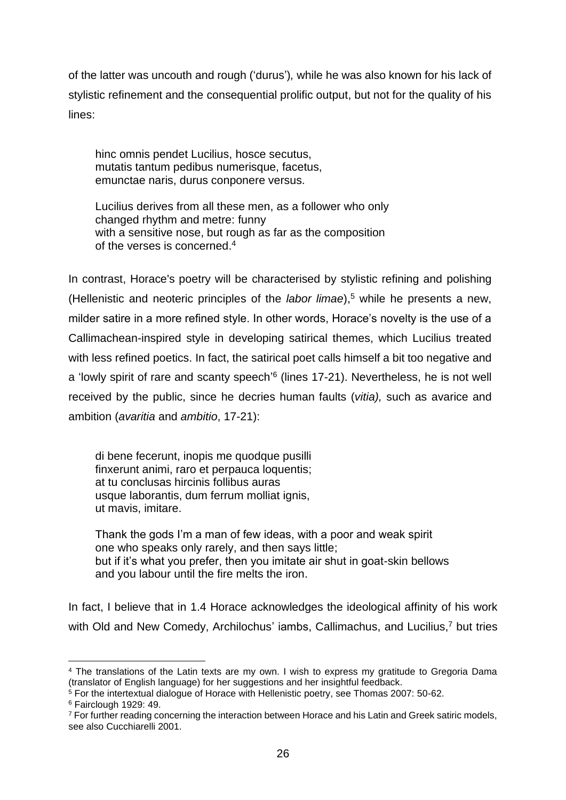of the latter was uncouth and rough ('durus')*,* while he was also known for his lack of stylistic refinement and the consequential prolific output, but not for the quality of his lines:

hinc omnis pendet Lucilius, hosce secutus, mutatis tantum pedibus numerisque, facetus, emunctae naris, durus conponere versus.

Lucilius derives from all these men, as a follower who only changed rhythm and metre: funny with a sensitive nose, but rough as far as the composition of the verses is concerned. 4

In contrast, Horace's poetry will be characterised by stylistic refining and polishing (Hellenistic and neoteric principles of the *labor limae*), <sup>5</sup> while he presents a new, milder satire in a more refined style. In other words, Horace's novelty is the use of a Callimachean-inspired style in developing satirical themes, which Lucilius treated with less refined poetics. In fact, the satirical poet calls himself a bit too negative and a 'lowly spirit of rare and scanty speech'<sup>6</sup> (lines 17-21). Nevertheless, he is not well received by the public, since he decries human faults (*vitia),* such as avarice and ambition (*avaritia* and *ambitio*, 17-21):

di bene fecerunt, inopis me quodque pusilli finxerunt animi, raro et perpauca loquentis; at tu conclusas hircinis follibus auras usque laborantis, dum ferrum molliat ignis, ut mavis, imitare.

Thank the gods I'm a man of few ideas, with a poor and weak spirit one who speaks only rarely, and then says little; but if it's what you prefer, then you imitate air shut in goat-skin bellows and you labour until the fire melts the iron.

In fact, I believe that in 1.4 Horace acknowledges the ideological affinity of his work with Old and New Comedy, Archilochus' iambs, Callimachus, and Lucilius,<sup>7</sup> but tries

<sup>4</sup> The translations of the Latin texts are my own. I wish to express my gratitude to Gregoria Dama (translator of English language) for her suggestions and her insightful feedback.

<sup>5</sup> For the intertextual dialogue of Horace with Hellenistic poetry, see Thomas 2007: 50-62.

<sup>6</sup> Fairclough 1929: 49.

<sup>7</sup> For further reading concerning the interaction between Horace and his Latin and Greek satiric models, see also Cucchiarelli 2001.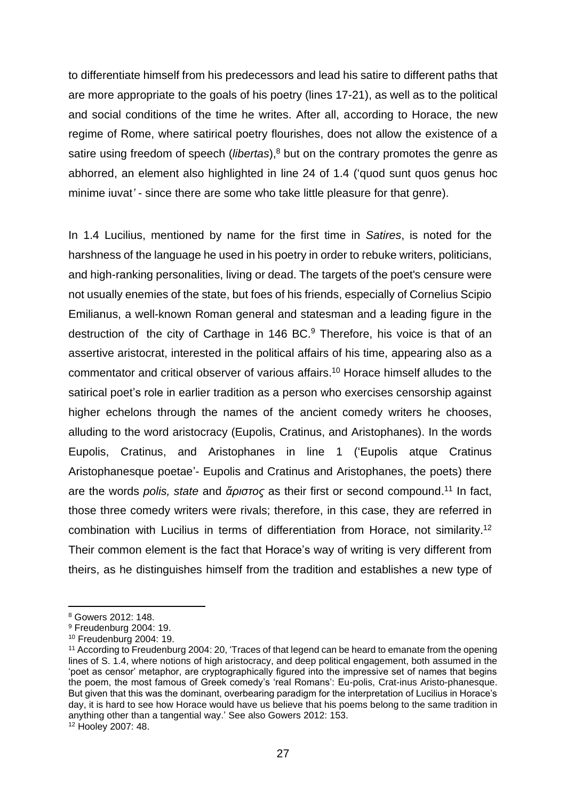to differentiate himself from his predecessors and lead his satire to different paths that are more appropriate to the goals of his poetry (lines 17-21), as well as to the political and social conditions of the time he writes. After all, according to Horace, the new regime of Rome, where satirical poetry flourishes, does not allow the existence of a satire using freedom of speech (*libertas*),<sup>8</sup> but on the contrary promotes the genre as abhorred, an element also highlighted in line 24 of 1.4 ('quod sunt quos genus hoc minime iuvat*'* - since there are some who take little pleasure for that genre).

In 1.4 Lucilius, mentioned by name for the first time in *Satires*, is noted for the harshness of the language he used in his poetry in order to rebuke writers, politicians, and high-ranking personalities, living or dead. The targets of the poet's censure were not usually enemies of the state, but foes of his friends, especially of Cornelius Scipio Emilianus, a well-known Roman general and statesman and a leading figure in the destruction of the city of Carthage in 146 BC. <sup>9</sup> Therefore, his voice is that of an assertive aristocrat, interested in the political affairs of his time, appearing also as a commentator and critical observer of various affairs. <sup>10</sup> Horace himself alludes to the satirical poet's role in earlier tradition as a person who exercises censorship against higher echelons through the names of the ancient comedy writers he chooses, alluding to the word aristocracy (Eupolis, Cratinus, and Aristophanes). In the words Eupolis, Cratinus, and Aristophanes in line 1 ('Eupolis atque Cratinus Aristophanesque poetae'- Eupolis and Cratinus and Aristophanes, the poets) there are the words *polis, state* and *ἄριστος* as their first or second compound. <sup>11</sup> In fact, those three comedy writers were rivals; therefore, in this case, they are referred in combination with Lucilius in terms of differentiation from Horace, not similarity. 12 Their common element is the fact that Horace's way of writing is very different from theirs, as he distinguishes himself from the tradition and establishes a new type of

<sup>8</sup> Gowers 2012: 148.

<sup>9</sup> Freudenburg 2004: 19.

<sup>10</sup> Freudenburg 2004: 19.

<sup>11</sup> According to Freudenburg 2004: 20, 'Traces of that legend can be heard to emanate from the opening lines of S. 1.4, where notions of high aristocracy, and deep political engagement, both assumed in the 'poet as censor' metaphor, are cryptographically figured into the impressive set of names that begins the poem, the most famous of Greek comedy's 'real Romans': Eu-polis, Crat-inus Aristo-phanesque. But given that this was the dominant, overbearing paradigm for the interpretation of Lucilius in Horace's day, it is hard to see how Horace would have us believe that his poems belong to the same tradition in anything other than a tangential way.' See also Gowers 2012: 153.

<sup>12</sup> Hooley 2007: 48.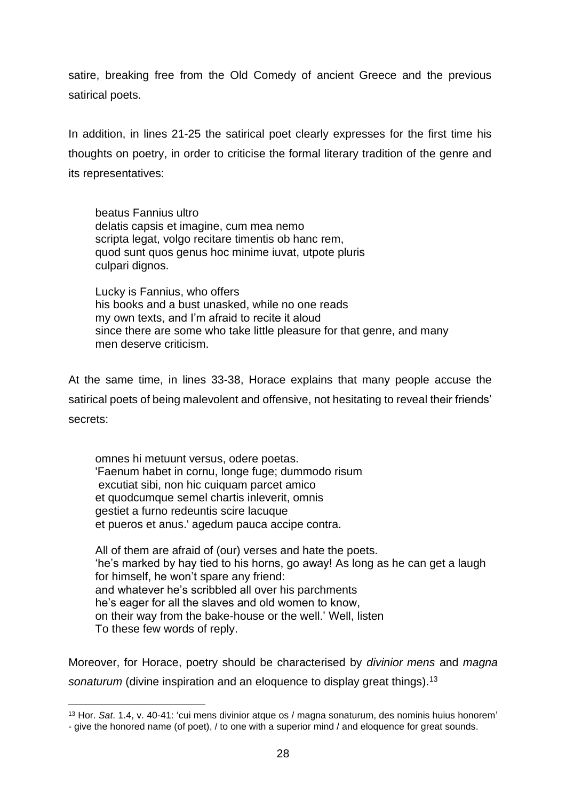satire, breaking free from the Old Comedy of ancient Greece and the previous satirical poets.

In addition, in lines 21-25 the satirical poet clearly expresses for the first time his thoughts on poetry, in order to criticise the formal literary tradition of the genre and its representatives:

beatus Fannius ultro delatis capsis et imagine, cum mea nemo scripta legat, volgo recitare timentis ob hanc rem, quod sunt quos genus hoc minime iuvat, utpote pluris culpari dignos.

Lucky is Fannius, who offers his books and a bust unasked, while no one reads my own texts, and I'm afraid to recite it aloud since there are some who take little pleasure for that genre, and many men deserve criticism.

At the same time, in lines 33-38, Horace explains that many people accuse the satirical poets of being malevolent and offensive, not hesitating to reveal their friends' secrets:

omnes hi metuunt versus, odere poetas. 'Faenum habet in cornu, longe fuge; dummodo risum excutiat sibi, non hic cuiquam parcet amico et quodcumque semel chartis inleverit, omnis gestiet a furno redeuntis scire lacuque et pueros et anus.' agedum pauca accipe contra.

All of them are afraid of (our) verses and hate the poets. 'he's marked by hay tied to his horns, go away! As long as he can get a laugh for himself, he won't spare any friend: and whatever he's scribbled all over his parchments he's eager for all the slaves and old women to know, on their way from the bake-house or the well.' Well, listen To these few words of reply.

Moreover, for Horace, poetry should be characterised by *divinior mens* and *magna sonaturum* (divine inspiration and an eloquence to display great things).<sup>13</sup>

<sup>13</sup> Hor. *Sat*. 1.4, v. 40-41: 'cui mens divinior atque os / magna sonaturum, des nominis huius honorem' - give the honored name (of poet), / to one with a superior mind / and eloquence for great sounds.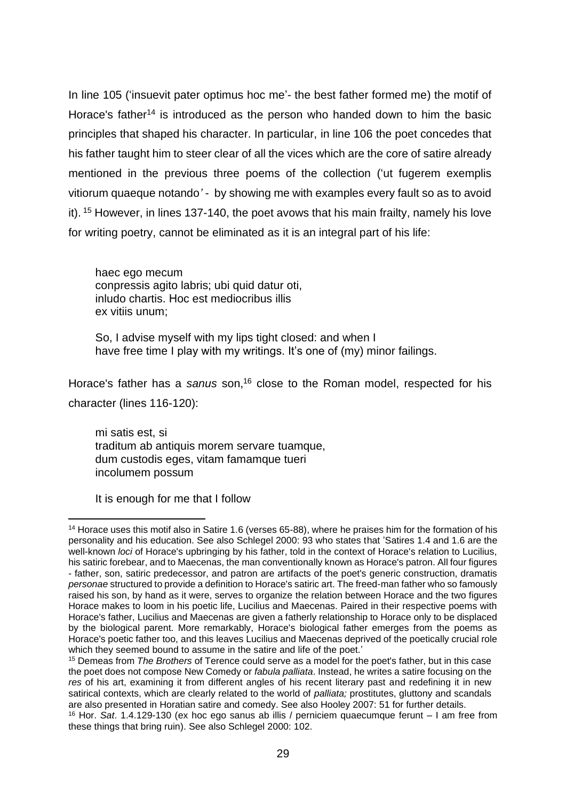In line 105 ('insuevit pater optimus hoc me'- the best father formed me) the motif of Horace's father<sup>14</sup> is introduced as the person who handed down to him the basic principles that shaped his character. In particular, in line 106 the poet concedes that his father taught him to steer clear of all the vices which are the core of satire already mentioned in the previous three poems of the collection ('ut fugerem exemplis vitiorum quaeque notando*' -* by showing me with examples every fault so as to avoid it). <sup>15</sup> However, in lines 137-140, the poet avows that his main frailty, namely his love for writing poetry, cannot be eliminated as it is an integral part of his life:

haec ego mecum conpressis agito labris; ubi quid datur oti, inludo chartis. Ηoc est mediocribus illis ex vitiis unum;

So, I advise myself with my lips tight closed: and when I have free time I play with my writings. It's one of (my) minor failings.

Horace's father has a *sanus* son,<sup>16</sup> close to the Roman model, respected for his character (lines 116-120):

mi satis est, si traditum ab antiquis morem servare tuamque, dum custodis eges, vitam famamque tueri incolumem possum

It is enough for me that I follow

<sup>14</sup> Horace uses this motif also in Satire 1.6 (verses 65-88), where he praises him for the formation of his personality and his education. See also Schlegel 2000: 93 who states that 'Satires 1.4 and 1.6 are the well-known *loci* of Horace's upbringing by his father, told in the context of Horace's relation to Lucilius, his satiric forebear, and to Maecenas, the man conventionally known as Horace's patron. All four figures - father, son, satiric predecessor, and patron are artifacts of the poet's generic construction, dramatis *personae* structured to provide a definition to Horace's satiric art. The freed-man father who so famously raised his son, by hand as it were, serves to organize the relation between Horace and the two figures Horace makes to loom in his poetic life, Lucilius and Maecenas. Paired in their respective poems with Horace's father, Lucilius and Maecenas are given a fatherly relationship to Horace only to be displaced by the biological parent. More remarkably, Horace's biological father emerges from the poems as Horace's poetic father too, and this leaves Lucilius and Maecenas deprived of the poetically crucial role which they seemed bound to assume in the satire and life of the poet.'

<sup>15</sup> Demeas from *The Brothers* of Terence could serve as a model for the poet's father, but in this case the poet does not compose New Comedy or *fabula palliata*. Instead, he writes a satire focusing on the *res* of his art, examining it from different angles of his recent literary past and redefining it in new satirical contexts, which are clearly related to the world of *palliata;* prostitutes, gluttony and scandals are also presented in Horatian satire and comedy. See also Hooley 2007: 51 for further details.

<sup>16</sup> Hor. *Sat*. 1.4.129-130 (ex hoc ego sanus ab illis / perniciem quaecumque ferunt *–* I am free from these things that bring ruin). See also Schlegel 2000: 102.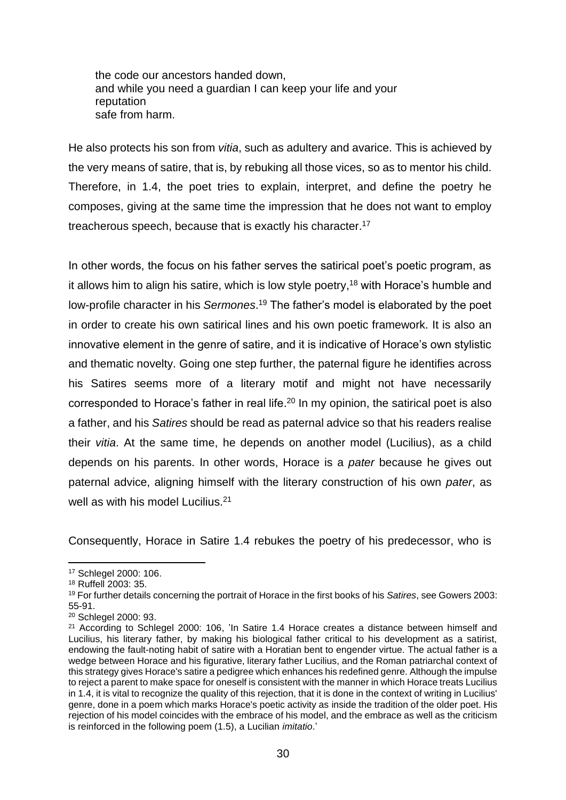the code our ancestors handed down, and while you need a guardian I can keep your life and your reputation safe from harm.

He also protects his son from *vitia*, such as adultery and avarice. This is achieved by the very means of satire, that is, by rebuking all those vices, so as to mentor his child. Therefore, in 1.4, the poet tries to explain, interpret, and define the poetry he composes, giving at the same time the impression that he does not want to employ treacherous speech, because that is exactly his character.<sup>17</sup>

In other words, the focus on his father serves the satirical poet's poetic program, as it allows him to align his satire, which is low style poetry,<sup>18</sup> with Horace's humble and low-profile character in his *Sermones*. <sup>19</sup> The father's model is elaborated by the poet in order to create his own satirical lines and his own poetic framework. It is also an innovative element in the genre of satire, and it is indicative of Horace's own stylistic and thematic novelty. Going one step further, the paternal figure he identifies across his Satires seems more of a literary motif and might not have necessarily corresponded to Horace's father in real life.<sup>20</sup> In my opinion, the satirical poet is also a father, and his *Satires* should be read as paternal advice so that his readers realise their *vitia*. At the same time, he depends on another model (Lucilius), as a child depends on his parents. In other words, Horace is a *pater* because he gives out paternal advice, aligning himself with the literary construction of his own *pater*, as well as with his model Lucilius.<sup>21</sup>

Consequently, Horace in Satire 1.4 rebukes the poetry of his predecessor, who is

<sup>17</sup> Schlegel 2000: 106.

<sup>18</sup> Ruffell 2003: 35.

<sup>19</sup> For further details concerning the portrait of Horace in the first books of his *Satires*, see Gowers 2003: 55-91.

<sup>20</sup> Schlegel 2000: 93.

<sup>&</sup>lt;sup>21</sup> According to Schlegel 2000: 106, 'In Satire 1.4 Horace creates a distance between himself and Lucilius, his literary father, by making his biological father critical to his development as a satirist, endowing the fault-noting habit of satire with a Horatian bent to engender virtue. The actual father is a wedge between Horace and his figurative, literary father Lucilius, and the Roman patriarchal context of this strategy gives Horace's satire a pedigree which enhances his redefined genre. Although the impulse to reject a parent to make space for oneself is consistent with the manner in which Horace treats Lucilius in 1.4, it is vital to recognize the quality of this rejection, that it is done in the context of writing in Lucilius' genre, done in a poem which marks Horace's poetic activity as inside the tradition of the older poet. His rejection of his model coincides with the embrace of his model, and the embrace as well as the criticism is reinforced in the following poem (1.5), a Lucilian *imitatio*.'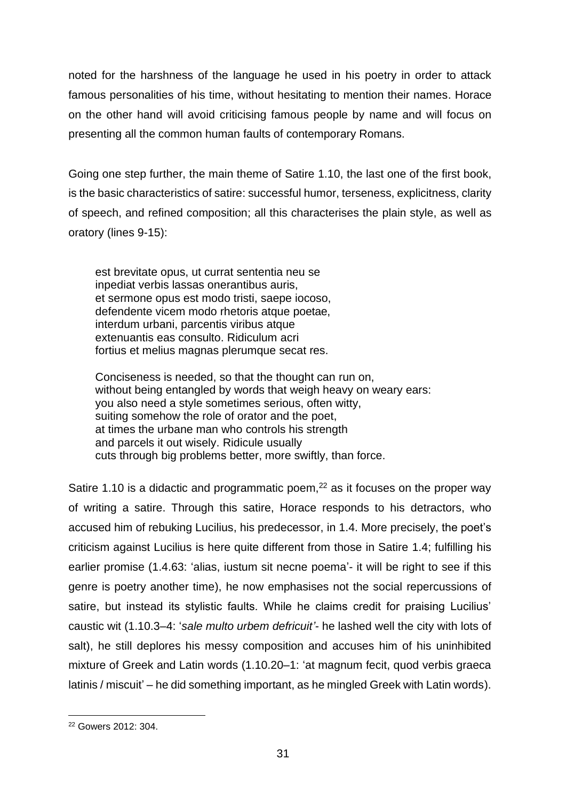noted for the harshness of the language he used in his poetry in order to attack famous personalities of his time, without hesitating to mention their names. Horace on the other hand will avoid criticising famous people by name and will focus on presenting all the common human faults of contemporary Romans.

Going one step further, the main theme of Satire 1.10, the last one of the first book, is the basic characteristics of satire: successful humor, terseness, explicitness, clarity of speech, and refined composition; all this characterises the plain style, as well as oratory (lines 9-15):

est brevitate opus, ut currat sententia neu se inpediat verbis lassas onerantibus auris, et sermone opus est modo tristi, saepe iocoso, defendente vicem modo rhetoris atque poetae, interdum urbani, parcentis viribus atque extenuantis eas consulto. Ridiculum acri fortius et melius magnas plerumque secat res.

Conciseness is needed, so that the thought can run on, without being entangled by words that weigh heavy on weary ears: you also need a style sometimes serious, often witty, suiting somehow the role of orator and the poet, at times the urbane man who controls his strength and parcels it out wisely. Ridicule usually cuts through big problems better, more swiftly, than force.

Satire 1.10 is a didactic and programmatic poem, $^{22}$  as it focuses on the proper way of writing a satire. Through this satire, Horace responds to his detractors, who accused him of rebuking Lucilius, his predecessor, in 1.4. More precisely, the poet's criticism against Lucilius is here quite different from those in Satire 1.4; fulfilling his earlier promise (1.4.63: 'alias, iustum sit necne poema'- it will be right to see if this genre is poetry another time), he now emphasises not the social repercussions of satire, but instead its stylistic faults. While he claims credit for praising Lucilius' caustic wit (1.10.3–4: '*sale multo urbem defricuit'-* he lashed well the city with lots of salt), he still deplores his messy composition and accuses him of his uninhibited mixture of Greek and Latin words (1.10.20–1: 'at magnum fecit, quod verbis graeca latinis / miscuit' *–* he did something important, as he mingled Greek with Latin words).

<sup>22</sup> Gowers 2012: 304.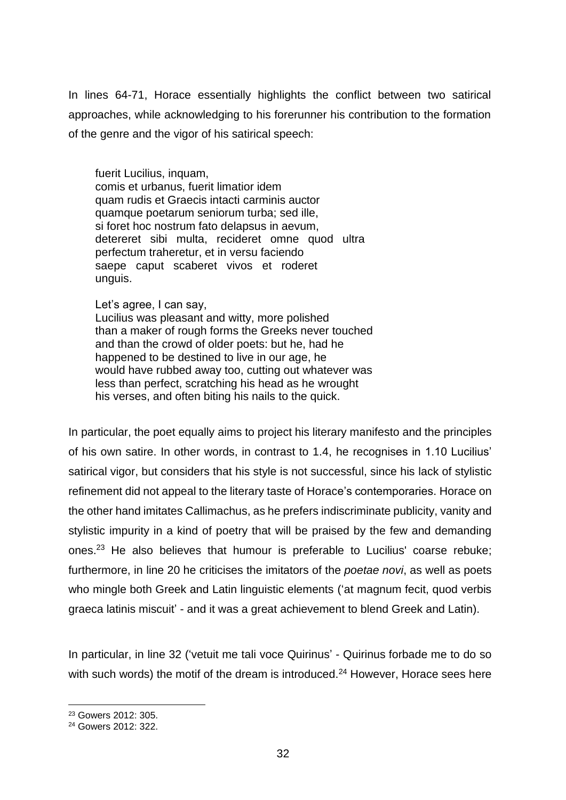In lines 64-71, Horace essentially highlights the conflict between two satirical approaches, while acknowledging to his forerunner his contribution to the formation of the genre and the vigor of his satirical speech:

fuerit Lucilius, inquam, comis et urbanus, fuerit limatior idem quam rudis et Graecis intacti carminis auctor quamque poetarum seniorum turba; sed ille, si foret hoc nostrum fato delapsus in aevum, detereret sibi multa, recideret omne quod ultra perfectum traheretur, et in versu faciendo saepe caput scaberet vivos et roderet unguis.

Let's agree, I can say,

Lucilius was pleasant and witty, more polished than a maker of rough forms the Greeks never touched and than the crowd of older poets: but he, had he happened to be destined to live in our age, he would have rubbed away too, cutting out whatever was less than perfect, scratching his head as he wrought his verses, and often biting his nails to the quick.

In particular, the poet equally aims to project his literary manifesto and the principles of his own satire. In other words, in contrast to 1.4, he recognises in 1.10 Lucilius' satirical vigor, but considers that his style is not successful, since his lack of stylistic refinement did not appeal to the literary taste of Horace's contemporaries. Horace on the other hand imitates Callimachus, as he prefers indiscriminate publicity, vanity and stylistic impurity in a kind of poetry that will be praised by the few and demanding ones. <sup>23</sup> He also believes that humour is preferable to Lucilius' coarse rebuke; furthermore, in line 20 he criticises the imitators of the *poetae novi*, as well as poets who mingle both Greek and Latin linguistic elements ('at magnum fecit, quod verbis graeca latinis miscuit' - and it was a great achievement to blend Greek and Latin).

In particular, in line 32 ('vetuit me tali voce Quirinus' - Quirinus forbade me to do so with such words) the motif of the dream is introduced.<sup>24</sup> However, Horace sees here

<sup>23</sup> Gowers 2012: 305.

<sup>24</sup> Gowers 2012: 322.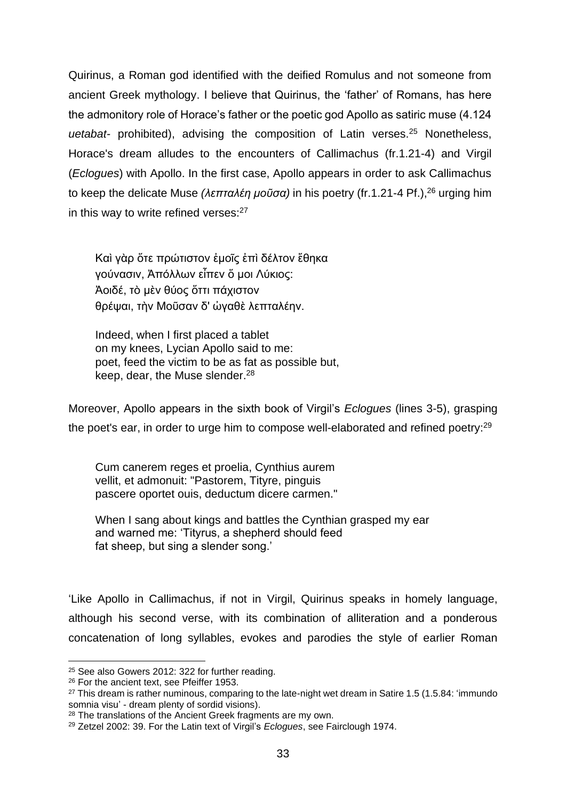Quirinus, a Roman god identified with the deified Romulus and not someone from ancient Greek mythology. I believe that Quirinus, the 'father' of Romans, has here the admonitory role of Horace's father or the poetic god Apollo as satiric muse (4.124 *uetabat-* prohibited), advising the composition of Latin verses.<sup>25</sup> Nonetheless, Horace's dream alludes to the encounters of Callimachus (fr.1.21-4) and Virgil (*Eclogues*) with Apollo. In the first case, Apollo appears in order to ask Callimachus to keep the delicate Muse *(λεπταλέη μοῦσα)* in his poetry (fr.1.21-4 Pf.), <sup>26</sup> urging him in this way to write refined verses: $27$ 

Καὶ γὰρ ὅτε πρώτιστον ἐµοῖς ἐπὶ δέλτον ἔθηκα γούνασιν, Ἀπόλλων εἶπεν ὅ µοι Λύκιος: Ἀοιδέ, τὸ μὲν θύος ὅττι πάχιστον θρέψαι, τὴν Μοῦσαν δ' ὠγαθὲ λεπταλέην.

Indeed, when I first placed a tablet on my knees, Lycian Apollo said to me: poet, feed the victim to be as fat as possible but, keep, dear, the Muse slender.<sup>28</sup>

Moreover, Apollo appears in the sixth book of Virgil's *Eclogues* (lines 3-5), grasping the poet's ear, in order to urge him to compose well-elaborated and refined poetry:<sup>29</sup>

Cum canerem reges et proelia, Cynthius aurem vellit, et admonuit: "Pastorem, Tityre, pinguis pascere oportet ouis, deductum dicere carmen."

When I sang about kings and battles the Cynthian grasped my ear and warned me: 'Tityrus, a shepherd should feed fat sheep, but sing a slender song.'

'Like Apollo in Callimachus, if not in Virgil, Quirinus speaks in homely language, although his second verse, with its combination of alliteration and a ponderous concatenation of long syllables, evokes and parodies the style of earlier Roman

<sup>25</sup> See also Gowers 2012: 322 for further reading.

<sup>&</sup>lt;sup>26</sup> For the ancient text, see Pfeiffer 1953.

<sup>&</sup>lt;sup>27</sup> This dream is rather numinous, comparing to the late-night wet dream in Satire 1.5 (1.5.84: 'immundo somnia visu' - dream plenty of sordid visions).

<sup>28</sup> The translations of the Ancient Greek fragments are my own.

<sup>29</sup> Zetzel 2002: 39. For the Latin text of Virgil's *Eclogues*, see Fairclough 1974.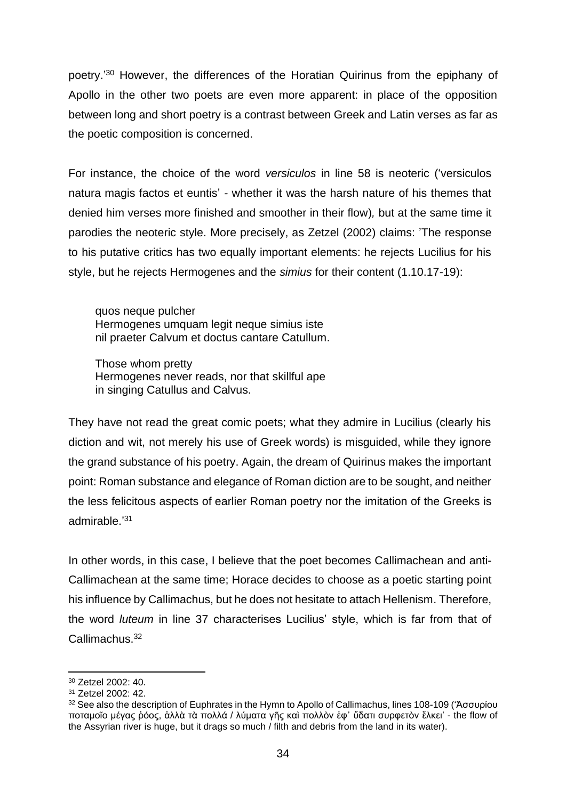poetry.' <sup>30</sup> However, the differences of the Horatian Quirinus from the epiphany of Apollo in the other two poets are even more apparent: in place of the opposition between long and short poetry is a contrast between Greek and Latin verses as far as the poetic composition is concerned.

For instance, the choice of the word *versiculos* in line 58 is neoteric ('versiculos natura magis factos et euntis' *-* whether it was the harsh nature of his themes that denied him verses more finished and smoother in their flow)*,* but at the same time it parodies the neoteric style. More precisely, as Zetzel (2002) claims: 'The response to his putative critics has two equally important elements: he rejects Lucilius for his style, but he rejects Hermogenes and the *simius* for their content (1.10.17-19):

quos neque pulcher Hermogenes umquam legit neque simius iste nil praeter Calvum et doctus cantare Catullum.

Those whom pretty Hermogenes never reads, nor that skillful ape in singing Catullus and Calvus.

They have not read the great comic poets; what they admire in Lucilius (clearly his diction and wit, not merely his use of Greek words) is misguided, while they ignore the grand substance of his poetry. Again, the dream of Quirinus makes the important point: Roman substance and elegance of Roman diction are to be sought, and neither the less felicitous aspects of earlier Roman poetry nor the imitation of the Greeks is admirable.' 31

In other words, in this case, I believe that the poet becomes Callimachean and anti-Callimachean at the same time; Horace decides to choose as a poetic starting point his influence by Callimachus, but he does not hesitate to attach Hellenism. Therefore, the word *luteum* in line 37 characterises Lucilius' style, which is far from that of Callimachus.<sup>32</sup>

<sup>30</sup> Zetzel 2002: 40.

<sup>31</sup> Zetzel 2002: 42.

<sup>32</sup> See also the description of Euphrates in the Hymn to Apollo of Callimachus, lines 108-109 ('Ἀσσυρίου ποταμοῖο μέγας ῥόος, ἀλλὰ τὰ πολλά / λύματα γῆς καὶ πολλὸν ἐφ᾽ ὕδατι συρφετὸν ἕλκει' - the flow of the Assyrian river is huge, but it drags so much / filth and debris from the land in its water).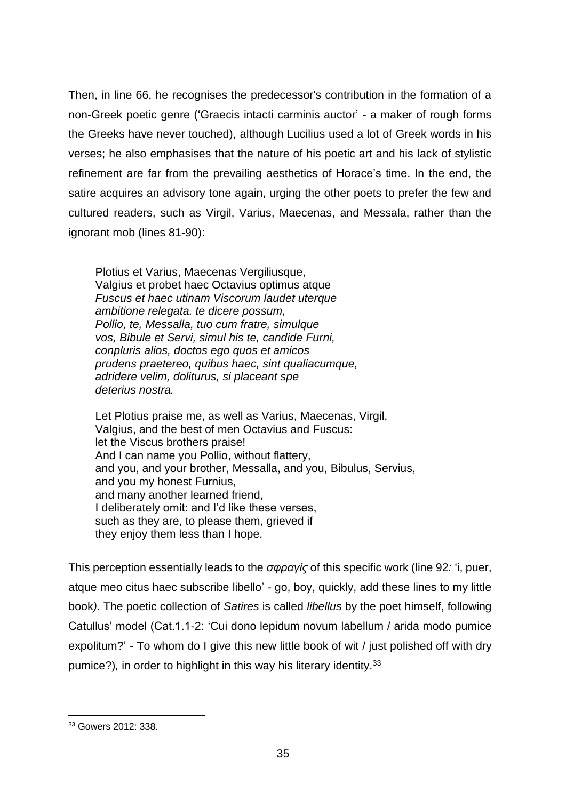Then, in line 66, he recognises the predecessor's contribution in the formation of a non-Greek poetic genre ('Graecis intacti carminis auctor' *-* a maker of rough forms the Greeks have never touched), although Lucilius used a lot of Greek words in his verses; he also emphasises that the nature of his poetic art and his lack of stylistic refinement are far from the prevailing aesthetics of Horace's time. In the end, the satire acquires an advisory tone again, urging the other poets to prefer the few and cultured readers, such as Virgil, Varius, Maecenas, and Messala, rather than the ignorant mob (lines 81-90):

Plotius et Varius, Maecenas Vergiliusque, Valgius et probet haec Octavius optimus atque *Fuscus et haec utinam Viscorum laudet uterque ambitione relegata. te dicere possum, Pollio, te, Messalla, tuo cum fratre, simulque vos, Bibule et Servi, simul his te, candide Furni, conpluris alios, doctos ego quos et amicos prudens praetereo, quibus haec, sint qualiacumque, adridere velim, doliturus, si placeant spe deterius nostra.*

Let Plotius praise me, as well as Varius, Maecenas, Virgil, Valgius, and the best of men Octavius and Fuscus: let the Viscus brothers praise! And I can name you Pollio, without flattery, and you, and your brother, Messalla, and you, Bibulus, Servius, and you my honest Furnius, and many another learned friend, I deliberately omit: and I'd like these verses, such as they are, to please them, grieved if they enjoy them less than I hope.

This perception essentially leads to the *σφραγίς* οf this specific work (line 92*:* 'i, puer, atque meo citus haec subscribe libello' *-* go, boy, quickly, add these lines to my little book*)*. The poetic collection of *Satires* is called *libellus* by the poet himself, following Catullus' model (Cat.1.1-2: 'Cui dono lepidum novum labellum / arida modo pumice expolitum?' *-* To whom do I give this new little book of wit / just polished off with dry pumice?)*,* in order to highlight in this way his literary identity.<sup>33</sup>

<sup>33</sup> Gowers 2012: 338.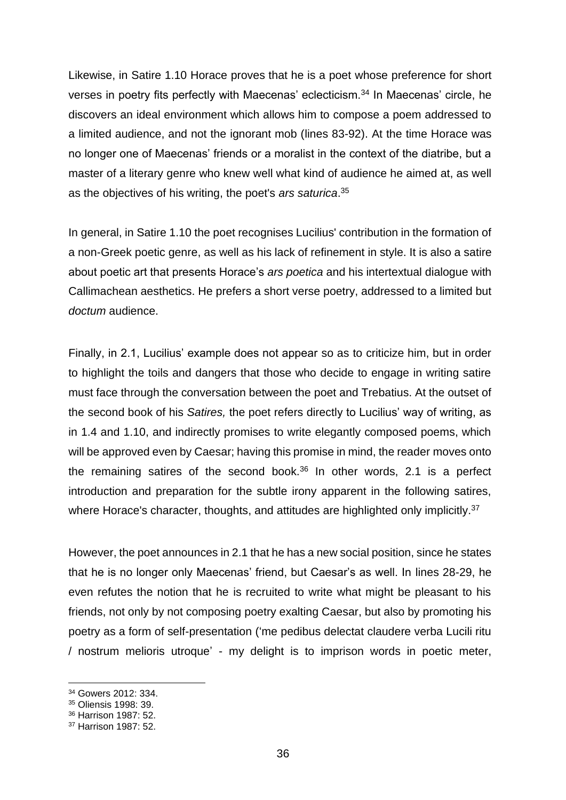Likewise, in Satire 1.10 Horace proves that he is a poet whose preference for short verses in poetry fits perfectly with Maecenas' eclecticism.<sup>34</sup> In Maecenas' circle, he discovers an ideal environment which allows him to compose a poem addressed to a limited audience, and not the ignorant mob (lines 83-92). At the time Horace was no longer one of Maecenas' friends or a moralist in the context of the diatribe, but a master of a literary genre who knew well what kind of audience he aimed at, as well as the objectives of his writing, the poet's *ars saturica*. 35

In general, in Satire 1.10 the poet recognises Lucilius' contribution in the formation of a non-Greek poetic genre, as well as his lack of refinement in style. It is also a satire about poetic art that presents Horace's *ars poetica* and his intertextual dialogue with Callimachean aesthetics. He prefers a short verse poetry, addressed to a limited but *doctum* audience.

Finally, in 2.1, Lucilius' example does not appear so as to criticize him, but in order to highlight the toils and dangers that those who decide to engage in writing satire must face through the conversation between the poet and Trebatius. At the outset of the second book of his *Satires,* the poet refers directly to Lucilius' way of writing, as in 1.4 and 1.10, and indirectly promises to write elegantly composed poems, which will be approved even by Caesar; having this promise in mind, the reader moves onto the remaining satires of the second book. $36$  In other words, 2.1 is a perfect introduction and preparation for the subtle irony apparent in the following satires, where Horace's character, thoughts, and attitudes are highlighted only implicitly.<sup>37</sup>

However, the poet announces in 2.1 that he has a new social position, since he states that he is no longer only Maecenas' friend, but Caesar's as well. In lines 28-29, he even refutes the notion that he is recruited to write what might be pleasant to his friends, not only by not composing poetry exalting Caesar, but also by promoting his poetry as a form of self-presentation ('me pedibus delectat claudere verba Lucili ritu / nostrum melioris utroque' - my delight is to imprison words in poetic meter,

<sup>34</sup> Gowers 2012: 334.

<sup>35</sup> Oliensis 1998: 39.

<sup>36</sup> Harrison 1987: 52.

<sup>37</sup> Harrison 1987: 52.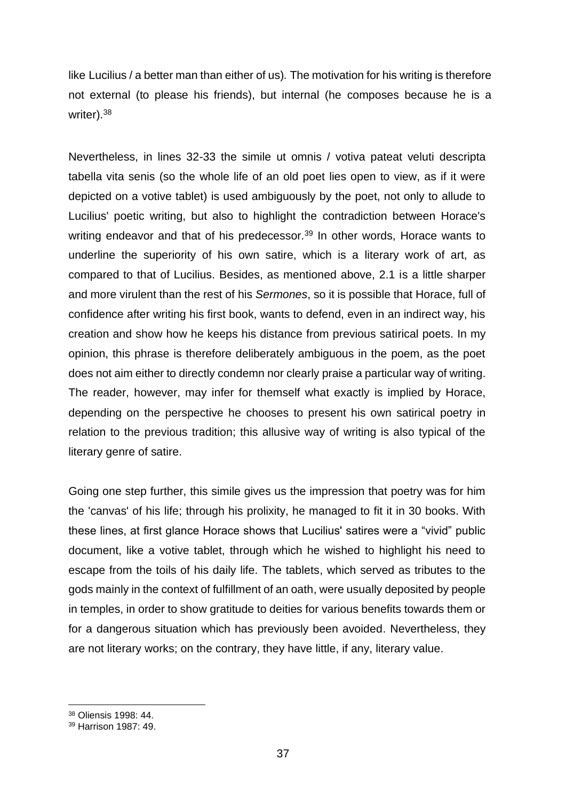like Lucilius / a better man than either of us)*.* The motivation for his writing is therefore not external (to please his friends), but internal (he composes because he is a writer).<sup>38</sup>

Nevertheless, in lines 32-33 the simile ut omnis / votiva pateat veluti descripta tabella vita senis (so the whole life of an old poet lies open to view, as if it were depicted on a votive tablet) is used ambiguously by the poet, not only to allude to Lucilius' poetic writing, but also to highlight the contradiction between Horace's writing endeavor and that of his predecessor.<sup>39</sup> In other words, Horace wants to underline the superiority of his own satire, which is a literary work of art, as compared to that of Lucilius. Besides, as mentioned above, 2.1 is a little sharper and more virulent than the rest of his *Sermones*, so it is possible that Horace, full of confidence after writing his first book, wants to defend, even in an indirect way, his creation and show how he keeps his distance from previous satirical poets. In my opinion, this phrase is therefore deliberately ambiguous in the poem, as the poet does not aim either to directly condemn nor clearly praise a particular way of writing. The reader, however, may infer for themself what exactly is implied by Horace, depending on the perspective he chooses to present his own satirical poetry in relation to the previous tradition; this allusive way of writing is also typical of the literary genre of satire.

Going one step further, this simile gives us the impression that poetry was for him the 'canvas' of his life; through his prolixity, he managed to fit it in 30 books. With these lines, at first glance Horace shows that Lucilius' satires were a "vivid" public document, like a votive tablet, through which he wished to highlight his need to escape from the toils of his daily life. The tablets, which served as tributes to the gods mainly in the context of fulfillment of an oath, were usually deposited by people in temples, in order to show gratitude to deities for various benefits towards them or for a dangerous situation which has previously been avoided. Nevertheless, they are not literary works; on the contrary, they have little, if any, literary value.

<sup>38</sup> Oliensis 1998: 44.

<sup>39</sup> Harrison 1987: 49.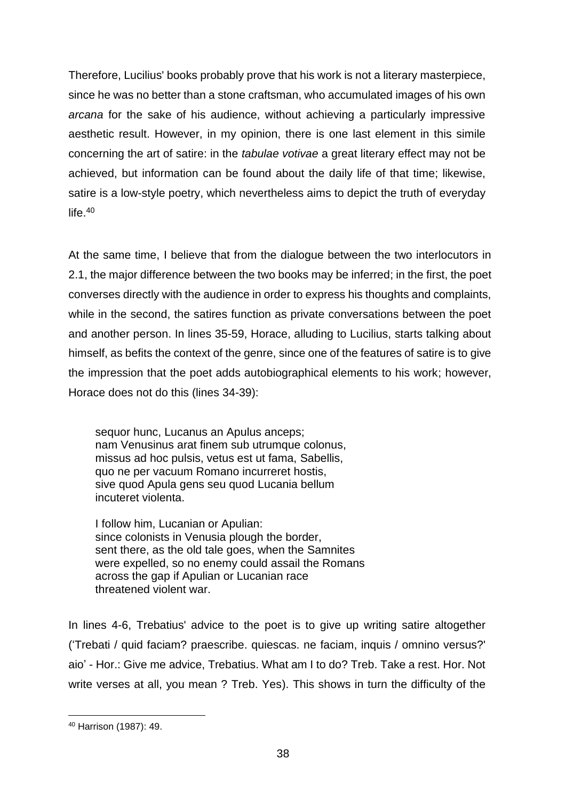Therefore, Lucilius' books probably prove that his work is not a literary masterpiece, since he was no better than a stone craftsman, who accumulated images of his own *arcana* for the sake of his audience, without achieving a particularly impressive aesthetic result. However, in my opinion, there is one last element in this simile concerning the art of satire: in the *tabulae votivae* a great literary effect may not be achieved, but information can be found about the daily life of that time; likewise, satire is a low-style poetry, which nevertheless aims to depict the truth of everyday life. $40$ 

At the same time, I believe that from the dialogue between the two interlocutors in 2.1, the major difference between the two books may be inferred; in the first, the poet converses directly with the audience in order to express his thoughts and complaints, while in the second, the satires function as private conversations between the poet and another person. In lines 35-59, Horace, alluding to Lucilius, starts talking about himself, as befits the context of the genre, since one of the features of satire is to give the impression that the poet adds autobiographical elements to his work; however, Horace does not do this (lines 34-39):

sequor hunc, Lucanus an Apulus anceps; nam Venusinus arat finem sub utrumque colonus, missus ad hoc pulsis, vetus est ut fama, Sabellis, quo ne per vacuum Romano incurreret hostis, sive quod Apula gens seu quod Lucania bellum incuteret violenta.

I follow him, Lucanian or Apulian: since colonists in Venusia plough the border, sent there, as the old tale goes, when the Samnites were expelled, so no enemy could assail the Romans across the gap if Apulian or Lucanian race threatened violent war.

In lines 4-6, Trebatius' advice to the poet is to give up writing satire altogether ('Trebati / quid faciam? praescribe. quiescas. ne faciam, inquis / omnino versus?' aio' - Hor.: Give me advice, Trebatius. What am I to do? Treb. Take a rest. Hor. Not write verses at all, you mean ? Treb. Yes). This shows in turn the difficulty of the

<sup>40</sup> Harrison (1987): 49.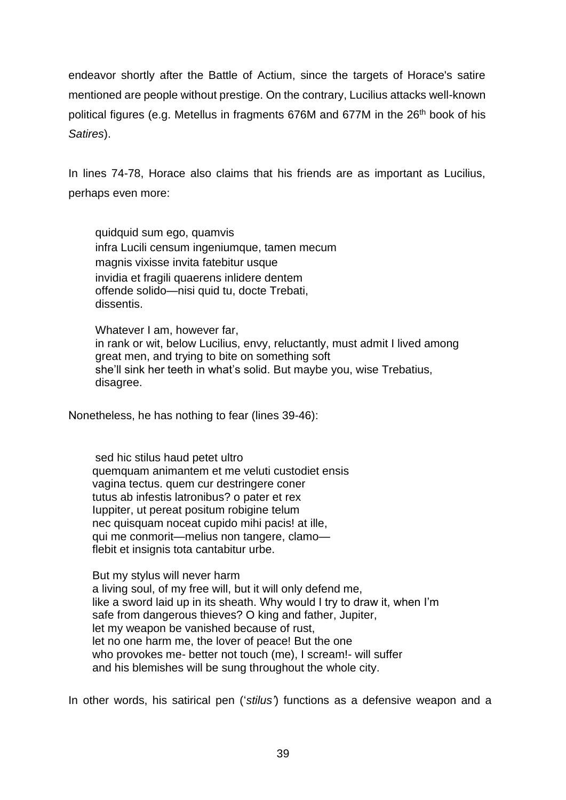endeavor shortly after the Battle of Actium, since the targets of Horace's satire mentioned are people without prestige. On the contrary, Lucilius attacks well-known political figures (e.g. Metellus in fragments 676M and 677M in the 26<sup>th</sup> book of his *Satires*).

In lines 74-78, Horace also claims that his friends are as important as Lucilius, perhaps even more:

quidquid sum ego, quamvis infra Lucili censum ingeniumque, tamen mecum magnis vixisse invita fatebitur usque invidia et fragili quaerens inlidere dentem offende solido—nisi quid tu, docte Trebati, dissentis.

Whatever I am, however far, in rank or wit, below Lucilius, envy, reluctantly, must admit I lived among great men, and trying to bite on something soft she'll sink her teeth in what's solid. But maybe you, wise Trebatius, disagree.

Νonetheless, he has nothing to fear (lines 39-46):

sed hic stilus haud petet ultro quemquam animantem et me veluti custodiet ensis vagina tectus. quem cur destringere coner tutus ab infestis latronibus? o pater et rex Iuppiter, ut pereat positum robigine telum nec quisquam noceat cupido mihi pacis! at ille, qui me conmorit—melius non tangere, clamo flebit et insignis tota cantabitur urbe.

But my stylus will never harm a living soul, of my free will, but it will only defend me, like a sword laid up in its sheath. Why would I try to draw it, when I'm safe from dangerous thieves? O king and father, Jupiter, let my weapon be vanished because of rust, let no one harm me, the lover of peace! But the one who provokes me- better not touch (me), I scream!- will suffer and his blemishes will be sung throughout the whole city.

In other words, his satirical pen ('*stilus'*) functions as a defensive weapon and a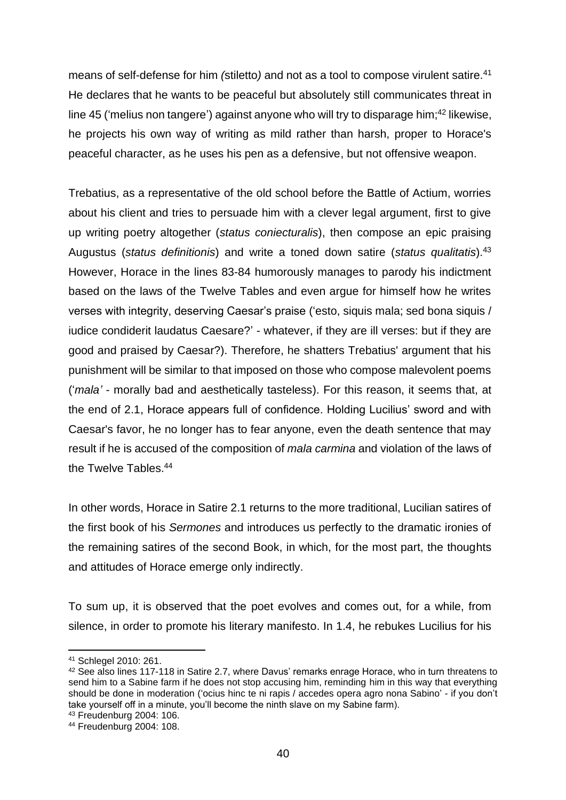means of self-defense for him *(stiletto)* and not as a tool to compose virulent satire.<sup>41</sup> He declares that he wants to be peaceful but absolutely still communicates threat in line 45 ('melius non tangere') against anyone who will try to disparage him; <sup>42</sup> likewise, he projects his own way of writing as mild rather than harsh, proper to Horace's peaceful character, as he uses his pen as a defensive, but not offensive weapon.

Trebatius, as a representative of the old school before the Battle of Actium, worries about his client and tries to persuade him with a clever legal argument, first to give up writing poetry altogether (*status coniecturalis*), then compose an epic praising Augustus (*status definitionis*) and write a toned down satire (*status qualitatis*).<sup>43</sup> However, Horace in the lines 83-84 humorously manages to parody his indictment based on the laws of the Twelve Tables and even argue for himself how he writes verses with integrity, deserving Caesar's praise ('esto, siquis mala; sed bona siquis / iudice condiderit laudatus Caesare?' - whatever, if they are ill verses: but if they are good and praised by Caesar?). Therefore, he shatters Trebatius' argument that his punishment will be similar to that imposed on those who compose malevolent poems ('*mala'* - morally bad and aesthetically tasteless). For this reason, it seems that, at the end of 2.1, Horace appears full of confidence. Holding Lucilius' sword and with Caesar's favor, he no longer has to fear anyone, even the death sentence that may result if he is accused of the composition of *mala carmina* and violation of the laws of the Twelve Tables.<sup>44</sup>

In other words, Horace in Satire 2.1 returns to the more traditional, Lucilian satires of the first book of his *Sermones* and introduces us perfectly to the dramatic ironies of the remaining satires of the second Book, in which, for the most part, the thoughts and attitudes of Horace emerge only indirectly.

To sum up, it is observed that the poet evolves and comes out, for a while, from silence, in order to promote his literary manifesto. In 1.4, he rebukes Lucilius for his

<sup>43</sup> Freudenburg 2004: 106.

<sup>41</sup> Schlegel 2010: 261.

<sup>42</sup> See also lines 117-118 in Satire 2.7, where Davus' remarks enrage Horace, who in turn threatens to send him to a Sabine farm if he does not stop accusing him, reminding him in this way that everything should be done in moderation ('ocius hinc te ni rapis / accedes opera agro nona Sabino' - if you don't take yourself off in a minute, you'll become the ninth slave on my Sabine farm).

<sup>44</sup> Freudenburg 2004: 108.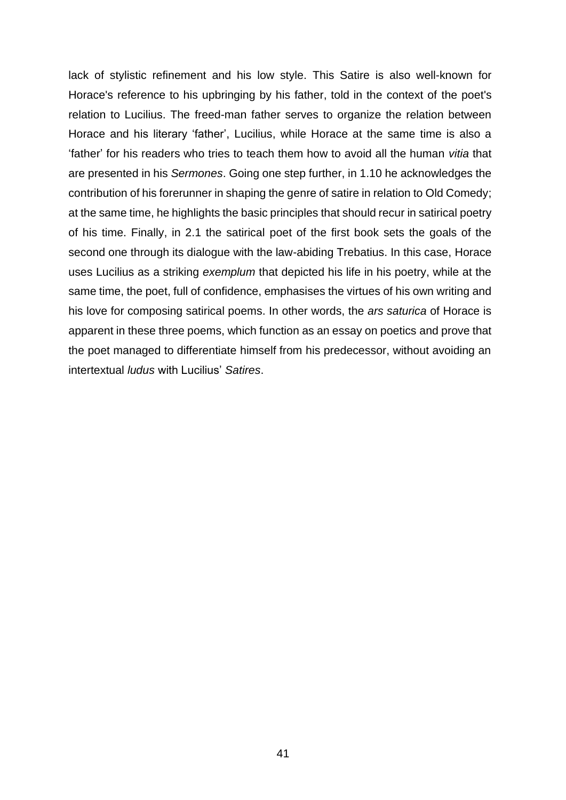lack of stylistic refinement and his low style. This Satire is also well-known for Horace's reference to his upbringing by his father, told in the context of the poet's relation to Lucilius. The freed-man father serves to organize the relation between Horace and his literary 'father', Lucilius, while Horace at the same time is also a 'father' for his readers who tries to teach them how to avoid all the human *vitia* that are presented in his *Sermones*. Going one step further, in 1.10 he acknowledges the contribution of his forerunner in shaping the genre of satire in relation to Old Comedy; at the same time, he highlights the basic principles that should recur in satirical poetry of his time. Finally, in 2.1 the satirical poet of the first book sets the goals of the second one through its dialogue with the law-abiding Trebatius. In this case, Horace uses Lucilius as a striking *exemplum* that depicted his life in his poetry, while at the same time, the poet, full of confidence, emphasises the virtues of his own writing and his love for composing satirical poems. In other words, the *ars saturica* of Horace is apparent in these three poems, which function as an essay on poetics and prove that the poet managed to differentiate himself from his predecessor, without avoiding an intertextual *ludus* with Lucilius' *Satires*.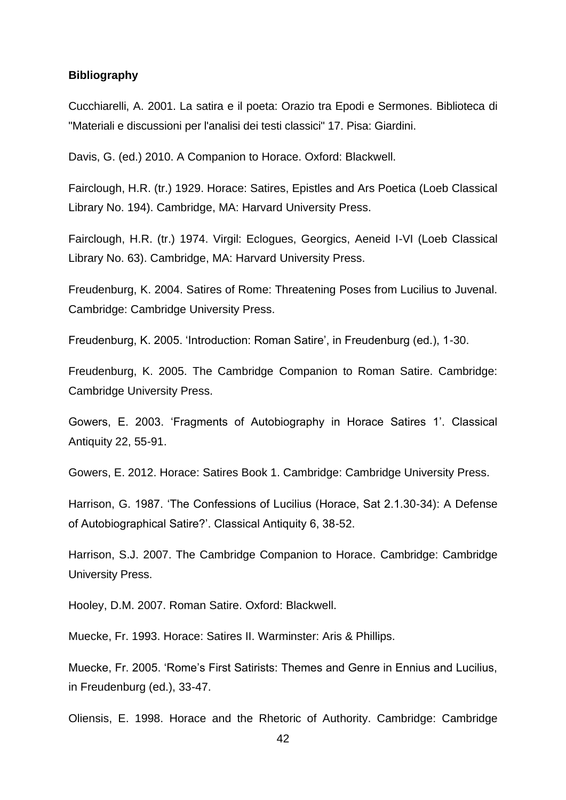## **Bibliography**

Cucchiarelli, A. 2001. La satira e il poeta: Orazio tra Epodi e Sermones. Biblioteca di "Materiali e discussioni per l'analisi dei testi classici" 17. Pisa: Giardini.

Davis, G. (ed.) 2010. A Companion to Horace. Oxford: Blackwell.

Fairclough, H.R. (tr.) 1929. Horace: Satires, Epistles and Ars Poetica (Loeb Classical Library No. 194). Cambridge, MA: Harvard University Press.

Fairclough, H.R. (tr.) 1974. Virgil: Eclogues, Georgics, Aeneid I-VI (Loeb Classical Library No. 63). Cambridge, MA: Harvard University Press.

Freudenburg, K. 2004. Satires of Rome: Threatening Poses from Lucilius to Juvenal. Cambridge: Cambridge University Press.

Freudenburg, K. 2005. 'Introduction: Roman Satire', in Freudenburg (ed.), 1-30.

Freudenburg, K. 2005. The Cambridge Companion to Roman Satire. Cambridge: Cambridge University Press.

Gowers, E. 2003. 'Fragments of Autobiography in Horace Satires 1'. Classical Antiquity 22, 55-91.

Gowers, E. 2012. Horace: Satires Book 1. Cambridge: Cambridge University Press.

Harrison, G. 1987. 'The Confessions of Lucilius (Horace, Sat 2.1.30-34): A Defense of Autobiographical Satire?'. Classical Antiquity 6, 38-52.

Harrison, S.J. 2007. The Cambridge Companion to Horace. Cambridge: Cambridge University Press.

Hooley, D.M. 2007. Roman Satire. Oxford: Blackwell.

Muecke, Fr. 1993. Horace: Satires II. Warminster: Aris & Phillips.

Muecke, Fr. 2005. 'Rome's First Satirists: Themes and Genre in Ennius and Lucilius, in Freudenburg (ed.), 33-47.

Oliensis, E. 1998. Horace and the Rhetoric of Authority. Cambridge: Cambridge